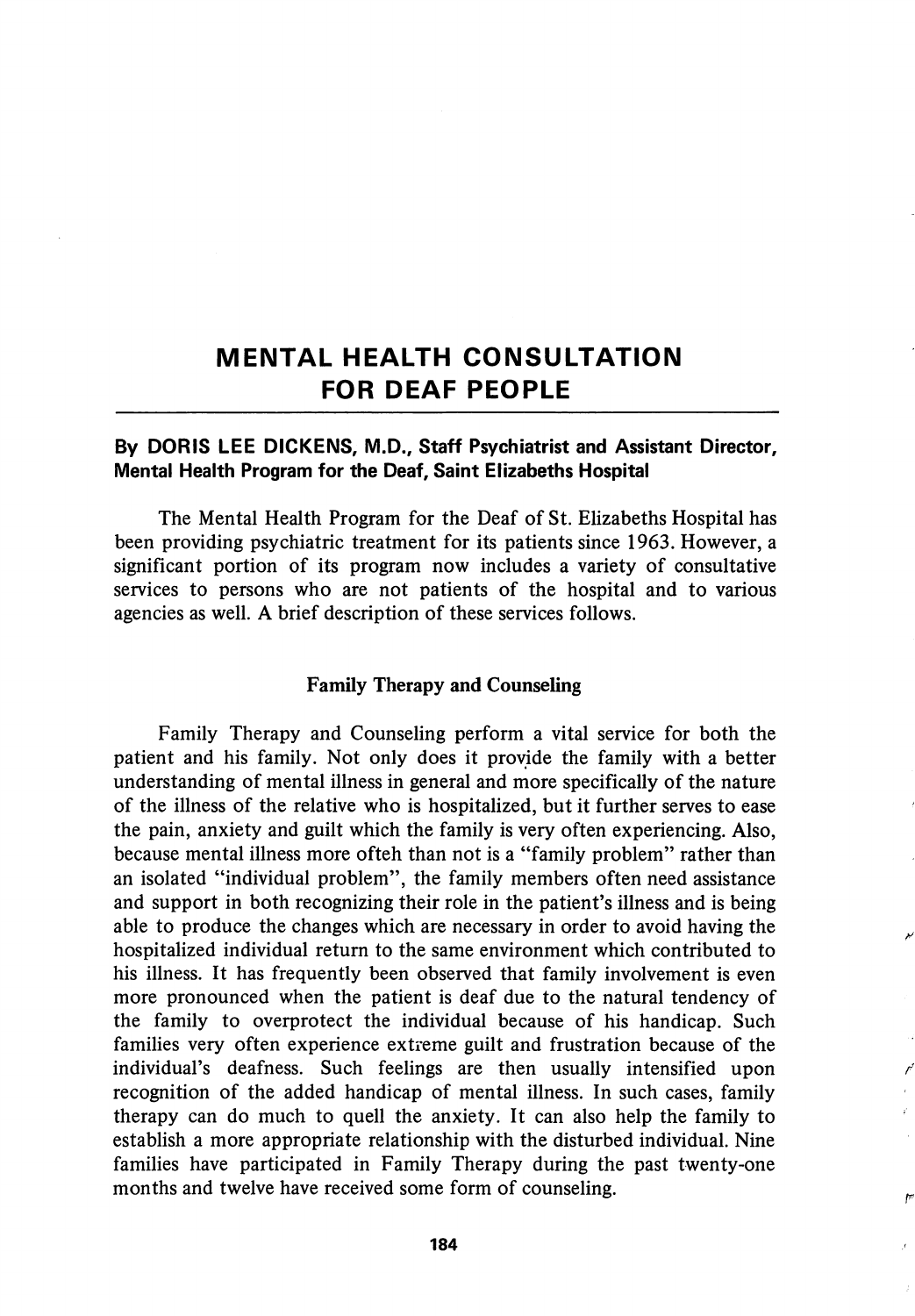# MENTAL HEALTH CONSULTATION FOR DEAF PEOPLE

## By DORIS LEE DICKENS, M.D., Staff Psychiatrist and Assistant Director, Mental Health Program for the Deaf, Saint Elizabeths Hospital

The Mental Health Program for the Deaf of St. Elizabeths Hospital has been providing psychiatric treatment for its patients since 1963. However, a significant portion of its program now includes a variety of consultative services to persons who are not patients of the hospital and to various agencies as well. A brief description of these services follows.

## Family Therapy and Counseling

Family Therapy and Counseling perform a vital service for both the patient and his family. Not only does it provide the family with a better understanding of mental illness in general and more specifically of the nature of the illness of the relative who is hospitalized, but it further serves to ease the pain, anxiety and guilt which the family is very often experiencing. Also, because mental illness more ofteh than not is a "family problem" rather than an isolated "individual problem", the family members often need assistance and support in both recognizing their role in the patient's illness and is being able to produce the changes which are necessary in order to avoid having the hospitalized individual return to the same environment which contributed to his illness. It has frequently been observed that family involvement is even more pronounced when the patient is deaf due to the natural tendency of the family to overprotect the individual because of his handicap. Such families very often experience extreme guilt and frustration because of the individual's deafness. Such feelings are then usually intensified upon recognition of the added handicap of mental illness. In such cases, family therapy can do much to quell the anxiety. It can also help the family to establish a more appropriate relationship with the disturbed individual. Nine families have participated in Family Therapy during the past twenty-one months and twelve have received some form of counseling.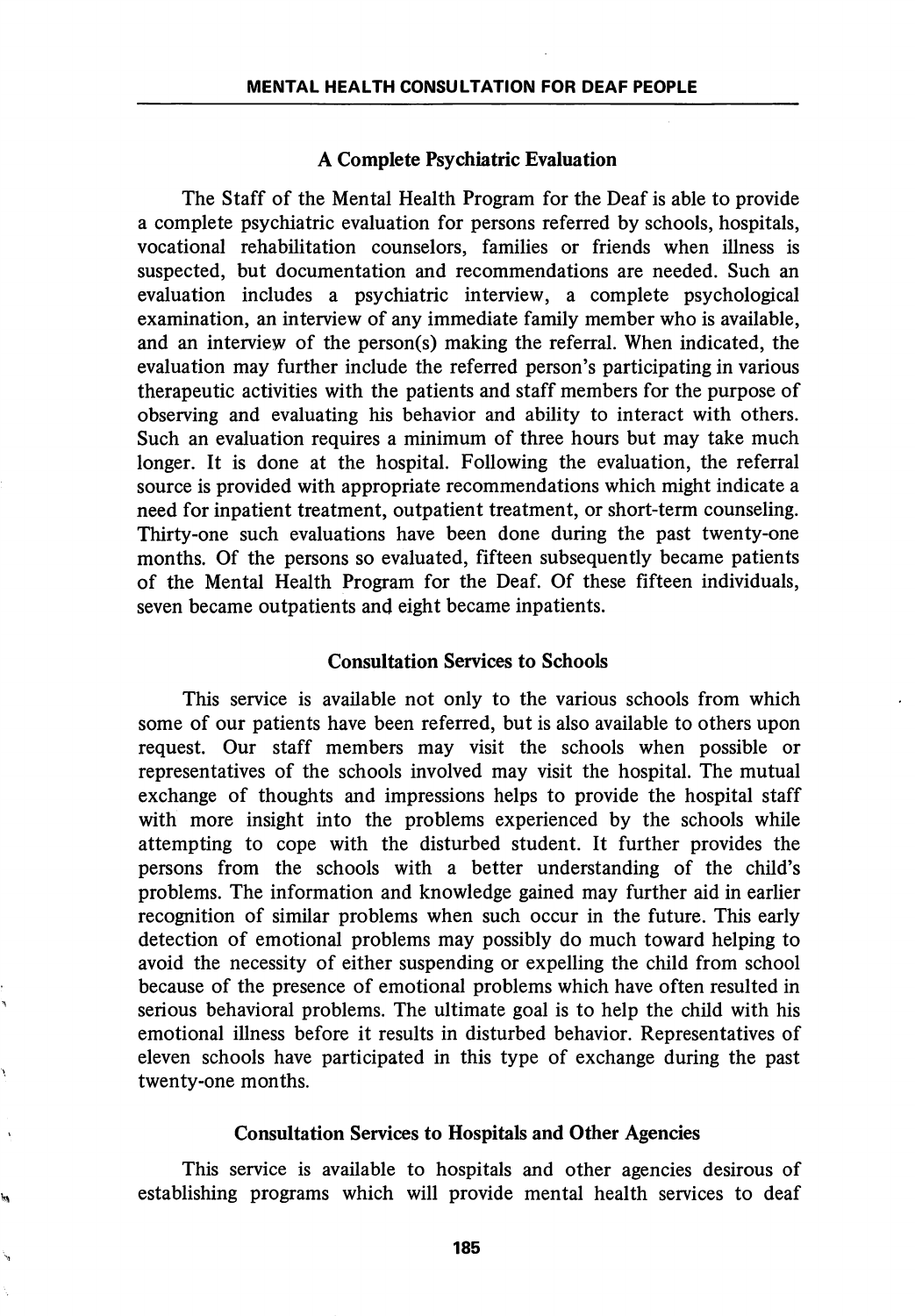## A Complete Psychiatric Evaluation

The Staff of the Mental Health Program for the Deaf is able to provide a complete psychiatric evaluation for persons referred by schools, hospitals, vocational rehabilitation counselors, families or friends when illness is suspected, but documentation and recommendations are needed. Such an evaluation includes a psychiatric interview, a complete psychological examination, an interview of any immediate family member who is available, and an interview of the person(s) making the referral. When indicated, the evaluation may further include the referred person's participating in various therapeutic activities with the patients and staff members for the purpose of observing and evaluating his behavior and ability to interact with others. Such an evaluation requires a minimum of three hours but may take much longer. It is done at the hospital. Following the evaluation, the referral source is provided with appropriate recommendations which might indicate a need for inpatient treatment, outpatient treatment, or short-term counseling. Thirty-one such evaluations have been done during the past twenty-one months. Of the persons so evaluated, fifteen subsequently became patients of the Mental Health Program for the Deaf. Of these fifteen individuals, seven became outpatients and eight became inpatients.

## Consultation Services to Schools

This service is available not only to the various schools from which some of our patients have been referred, but is also available to others upon request. Our staff members may visit the schools when possible or representatives of the schools involved may visit the hospital. The mutual exchange of thoughts and impressions helps to provide the hospital staff with more insight into the problems experienced by the schools while attempting to cope with the disturbed student. It further provides the persons from the schools with a better understanding of the child's problems. The information and knowledge gained may further aid in earlier recognition of similar problems when such occur in the future. This early detection of emotional problems may possibly do much toward helping to avoid the necessity of either suspending or expelling the child from school because of the presence of emotional problems which have often resulted in serious behavioral problems. The ultimate goal is to help the child with his emotional illness before it results in disturbed behavior. Representatives of eleven schools have participated in this type of exchange during the past twenty-one months.

## Consultation Services to Hospitals and Other Agencies

This service is available to hospitals and other agencies desirous of establishing programs which will provide mental health services to deaf